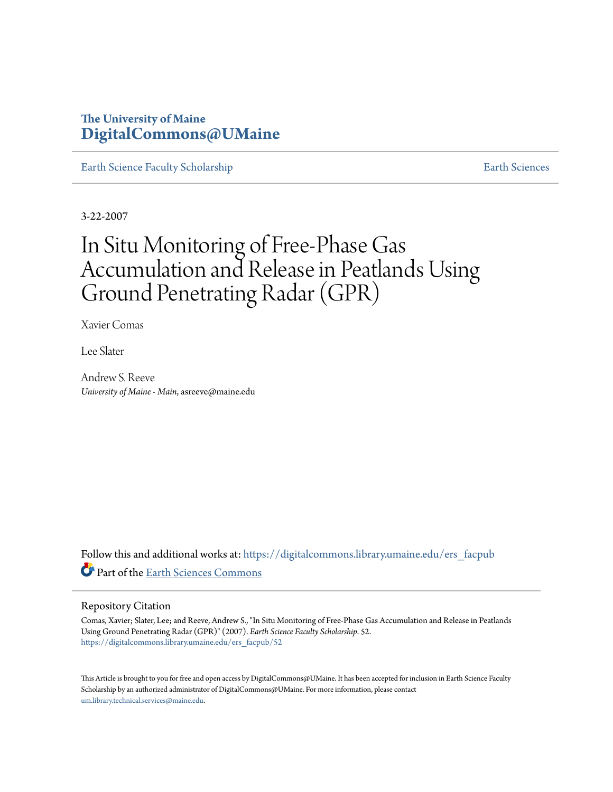## **The University of Maine [DigitalCommons@UMaine](https://digitalcommons.library.umaine.edu?utm_source=digitalcommons.library.umaine.edu%2Fers_facpub%2F52&utm_medium=PDF&utm_campaign=PDFCoverPages)**

[Earth Science Faculty Scholarship](https://digitalcommons.library.umaine.edu/ers_facpub?utm_source=digitalcommons.library.umaine.edu%2Fers_facpub%2F52&utm_medium=PDF&utm_campaign=PDFCoverPages) **[Earth Sciences](https://digitalcommons.library.umaine.edu/ers?utm_source=digitalcommons.library.umaine.edu%2Fers_facpub%2F52&utm_medium=PDF&utm_campaign=PDFCoverPages)** 

3-22-2007

# In Situ Monitoring of Free-Phase Gas Accumulation and Release in Peatlands Using Ground Penetrating Radar (GPR)

Xavier Comas

Lee Slater

Andrew S. Reeve *University of Maine - Main*, asreeve@maine.edu

Follow this and additional works at: [https://digitalcommons.library.umaine.edu/ers\\_facpub](https://digitalcommons.library.umaine.edu/ers_facpub?utm_source=digitalcommons.library.umaine.edu%2Fers_facpub%2F52&utm_medium=PDF&utm_campaign=PDFCoverPages) Part of the [Earth Sciences Commons](http://network.bepress.com/hgg/discipline/153?utm_source=digitalcommons.library.umaine.edu%2Fers_facpub%2F52&utm_medium=PDF&utm_campaign=PDFCoverPages)

#### Repository Citation

Comas, Xavier; Slater, Lee; and Reeve, Andrew S., "In Situ Monitoring of Free-Phase Gas Accumulation and Release in Peatlands Using Ground Penetrating Radar (GPR)" (2007). *Earth Science Faculty Scholarship*. 52. [https://digitalcommons.library.umaine.edu/ers\\_facpub/52](https://digitalcommons.library.umaine.edu/ers_facpub/52?utm_source=digitalcommons.library.umaine.edu%2Fers_facpub%2F52&utm_medium=PDF&utm_campaign=PDFCoverPages)

This Article is brought to you for free and open access by DigitalCommons@UMaine. It has been accepted for inclusion in Earth Science Faculty Scholarship by an authorized administrator of DigitalCommons@UMaine. For more information, please contact [um.library.technical.services@maine.edu](mailto:um.library.technical.services@maine.edu).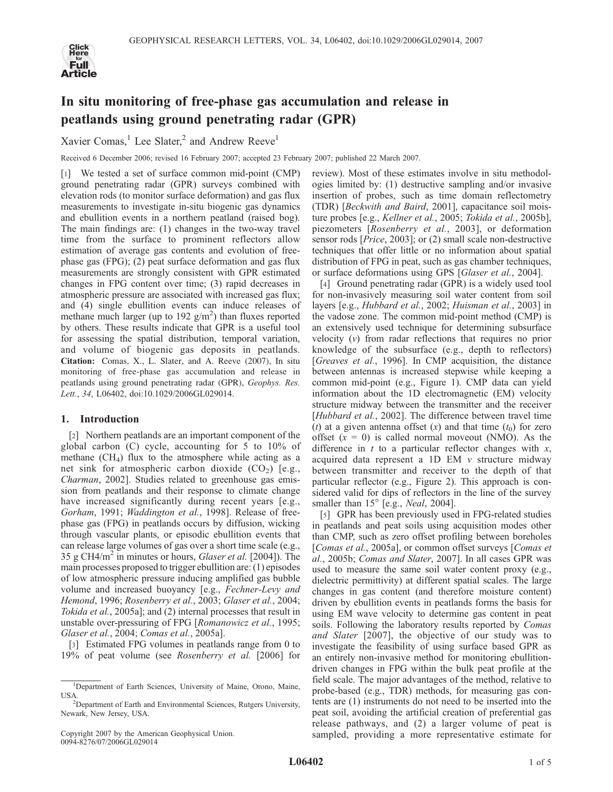

# In situ monitoring of free-phase gas accumulation and release in peatlands using ground penetrating radar (GPR)

Xavier Comas, $<sup>1</sup>$  Lee Slater, $<sup>2</sup>$  and Andrew Reeve<sup>1</sup></sup></sup>

Received 6 December 2006; revised 16 February 2007; accepted 23 February 2007; published 22 March 2007.

[1] We tested a set of surface common mid-point (CMP) ground penetrating radar (GPR) surveys combined with elevation rods (to monitor surface deformation) and gas flux measurements to investigate in-situ biogenic gas dynamics and ebullition events in a northern peatland (raised bog). The main findings are: (1) changes in the two-way travel time from the surface to prominent reflectors allow estimation of average gas contents and evolution of freephase gas (FPG); (2) peat surface deformation and gas flux measurements are strongly consistent with GPR estimated changes in FPG content over time; (3) rapid decreases in atmospheric pressure are associated with increased gas flux; and (4) single ebullition events can induce releases of methane much larger (up to 192  $g/m^2$ ) than fluxes reported by others. These results indicate that GPR is a useful tool for assessing the spatial distribution, temporal variation, and volume of biogenic gas deposits in peatlands. Citation: Comas, X., L. Slater, and A. Reeve (2007), In situ monitoring of free-phase gas accumulation and release in peatlands using ground penetrating radar (GPR), Geophys. Res. Lett., 34, L06402, doi:10.1029/2006GL029014.

## 1. Introduction

[2] Northern peatlands are an important component of the global carbon (C) cycle, accounting for 5 to 10% of methane  $(CH<sub>4</sub>)$  flux to the atmosphere while acting as a net sink for atmospheric carbon dioxide  $(CO_2)$  [e.g., Charman, 2002]. Studies related to greenhouse gas emission from peatlands and their response to climate change have increased significantly during recent years [e.g., Gorham, 1991; Waddington et al., 1998]. Release of freephase gas (FPG) in peatlands occurs by diffusion, wicking through vascular plants, or episodic ebullition events that can release large volumes of gas over a short time scale (e.g., 35 g CH4/ $m<sup>2</sup>$  in minutes or hours, *Glaser et al.* [2004]). The main processes proposed to trigger ebullition are: (1) episodes of low atmospheric pressure inducing amplified gas bubble volume and increased buoyancy [e.g., Fechner-Levy and Hemond, 1996; Rosenberry et al., 2003; Glaser et al., 2004; Tokida et al., 2005a]; and (2) internal processes that result in unstable over-pressuring of FPG [Romanowicz et al., 1995; Glaser et al., 2004; Comas et al., 2005a].

[3] Estimated FPG volumes in peatlands range from 0 to 19% of peat volume (see Rosenberry et al. [2006] for review). Most of these estimates involve in situ methodologies limited by: (1) destructive sampling and/or invasive insertion of probes, such as time domain reflectometry (TDR) [Beckwith and Baird, 2001], capacitance soil moisture probes [e.g., Kellner et al., 2005; Tokida et al., 2005b], piezometers [Rosenberry et al., 2003], or deformation sensor rods [Price, 2003]; or (2) small scale non-destructive techniques that offer little or no information about spatial distribution of FPG in peat, such as gas chamber techniques, or surface deformations using GPS [Glaser et al., 2004].

[4] Ground penetrating radar (GPR) is a widely used tool for non-invasively measuring soil water content from soil layers [e.g., Hubbard et al., 2002; Huisman et al., 2003] in the vadose zone. The common mid-point method (CMP) is an extensively used technique for determining subsurface velocity (v) from radar reflections that requires no prior knowledge of the subsurface (e.g., depth to reflectors) [Greaves et al., 1996]. In CMP acquisition, the distance between antennas is increased stepwise while keeping a common mid-point (e.g., Figure 1). CMP data can yield information about the 1D electromagnetic (EM) velocity structure midway between the transmitter and the receiver [Hubbard et al., 2002]. The difference between travel time (*t*) at a given antenna offset (*x*) and that time ( $t_0$ ) for zero offset  $(x = 0)$  is called normal moveout (NMO). As the difference in t to a particular reflector changes with  $x$ , acquired data represent a 1D EM  $\nu$  structure midway between transmitter and receiver to the depth of that particular reflector (e.g., Figure 2). This approach is considered valid for dips of reflectors in the line of the survey smaller than  $15^{\circ}$  [e.g., *Neal*, 2004].

[5] GPR has been previously used in FPG-related studies in peatlands and peat soils using acquisition modes other than CMP, such as zero offset profiling between boreholes [Comas et al., 2005a], or common offset surveys [Comas et al., 2005b; Comas and Slater, 2007]. In all cases GPR was used to measure the same soil water content proxy (e.g., dielectric permittivity) at different spatial scales. The large changes in gas content (and therefore moisture content) driven by ebullition events in peatlands forms the basis for using EM wave velocity to determine gas content in peat soils. Following the laboratory results reported by *Comas* and Slater [2007], the objective of our study was to investigate the feasibility of using surface based GPR as an entirely non-invasive method for monitoring ebullitiondriven changes in FPG within the bulk peat profile at the field scale. The major advantages of the method, relative to probe-based (e.g., TDR) methods, for measuring gas contents are (1) instruments do not need to be inserted into the peat soil, avoiding the artificial creation of preferential gas release pathways, and (2) a larger volume of peat is sampled, providing a more representative estimate for

<sup>&</sup>lt;sup>1</sup>Department of Earth Sciences, University of Maine, Orono, Maine, USA.

<sup>&</sup>lt;sup>2</sup>Department of Earth and Environmental Sciences, Rutgers University, Newark, New Jersey, USA.

Copyright 2007 by the American Geophysical Union. 0094-8276/07/2006GL029014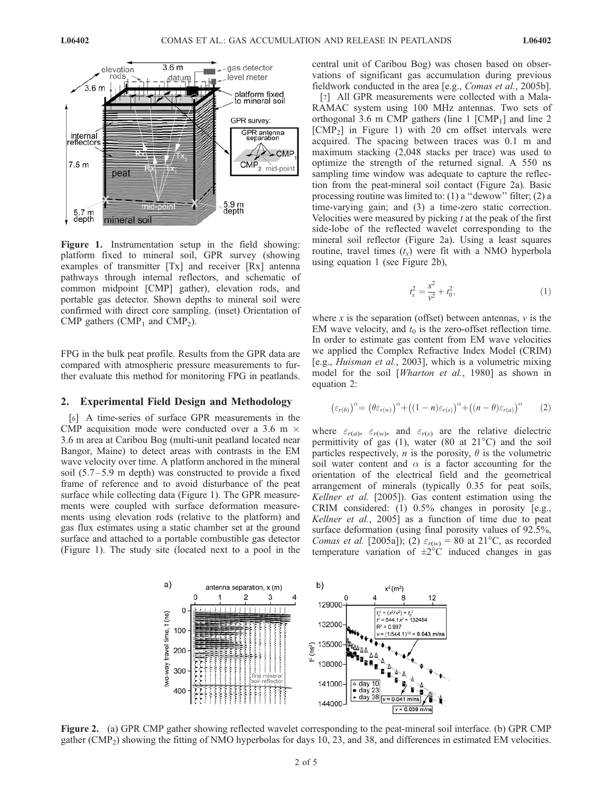

Figure 1. Instrumentation setup in the field showing: platform fixed to mineral soil, GPR survey (showing examples of transmitter [Tx] and receiver [Rx] antenna pathways through internal reflectors, and schematic of common midpoint [CMP] gather), elevation rods, and portable gas detector. Shown depths to mineral soil were confirmed with direct core sampling. (inset) Orientation of CMP gathers (CMP<sub>1</sub> and CMP<sub>2</sub>).

FPG in the bulk peat profile. Results from the GPR data are compared with atmospheric pressure measurements to further evaluate this method for monitoring FPG in peatlands.

## 2. Experimental Field Design and Methodology

[6] A time-series of surface GPR measurements in the CMP acquisition mode were conducted over a 3.6 m  $\times$ 3.6 m area at Caribou Bog (multi-unit peatland located near Bangor, Maine) to detect areas with contrasts in the EM wave velocity over time. A platform anchored in the mineral soil  $(5.7-5.9 \text{ m depth})$  was constructed to provide a fixed frame of reference and to avoid disturbance of the peat surface while collecting data (Figure 1). The GPR measurements were coupled with surface deformation measurements using elevation rods (relative to the platform) and gas flux estimates using a static chamber set at the ground surface and attached to a portable combustible gas detector (Figure 1). The study site (located next to a pool in the central unit of Caribou Bog) was chosen based on observations of significant gas accumulation during previous fieldwork conducted in the area [e.g., Comas et al., 2005b].

[7] All GPR measurements were collected with a Mala-RAMAC system using 100 MHz antennas. Two sets of orthogonal 3.6 m CMP gathers (line 1  $\text{[CMP}_1\text{]}$  and line 2  $[CMP<sub>2</sub>]$  in Figure 1) with 20 cm offset intervals were acquired. The spacing between traces was 0.1 m and maximum stacking (2,048 stacks per trace) was used to optimize the strength of the returned signal. A 550 ns sampling time window was adequate to capture the reflection from the peat-mineral soil contact (Figure 2a). Basic processing routine was limited to: (1) a ''dewow'' filter; (2) a time-varying gain; and (3) a time-zero static correction. Velocities were measured by picking  $t$  at the peak of the first side-lobe of the reflected wavelet corresponding to the mineral soil reflector (Figure 2a). Using a least squares routine, travel times  $(t_x)$  were fit with a NMO hyperbola using equation 1 (see Figure 2b),

$$
t_x^2 = \frac{x^2}{v^2} + t_0^2,\tag{1}
$$

where  $x$  is the separation (offset) between antennas,  $v$  is the EM wave velocity, and  $t_0$  is the zero-offset reflection time. In order to estimate gas content from EM wave velocities we applied the Complex Refractive Index Model (CRIM) [e.g., Huisman et al., 2003], which is a volumetric mixing model for the soil [Wharton et al., 1980] as shown in equation 2:

$$
\left(\varepsilon_{r(b)}\right)^{\alpha} = \left(\theta \varepsilon_{r(w)}\right)^{\alpha} + \left((1-n)\varepsilon_{r(s)}\right)^{\alpha} + \left((n-\theta)\varepsilon_{r(a)}\right)^{\alpha} \tag{2}
$$

where  $\varepsilon_{r(a)}, \varepsilon_{r(w)},$  and  $\varepsilon_{r(s)}$  are the relative dielectric permittivity of gas (1), water (80 at  $21^{\circ}$ C) and the soil particles respectively, *n* is the porosity,  $\theta$  is the volumetric soil water content and  $\alpha$  is a factor accounting for the orientation of the electrical field and the geometrical arrangement of minerals (typically 0.35 for peat soils, Kellner et al. [2005]). Gas content estimation using the CRIM considered: (1) 0.5% changes in porosity [e.g., Kellner et al., 2005] as a function of time due to peat surface deformation (using final porosity values of 92.5%, Comas et al. [2005a]); (2)  $\varepsilon_{r(w)}$  = 80 at 21°C, as recorded temperature variation of  $\pm 2^{\circ}$ C induced changes in gas



Figure 2. (a) GPR CMP gather showing reflected wavelet corresponding to the peat-mineral soil interface. (b) GPR CMP gather (CMP<sub>2</sub>) showing the fitting of NMO hyperbolas for days 10, 23, and 38, and differences in estimated EM velocities.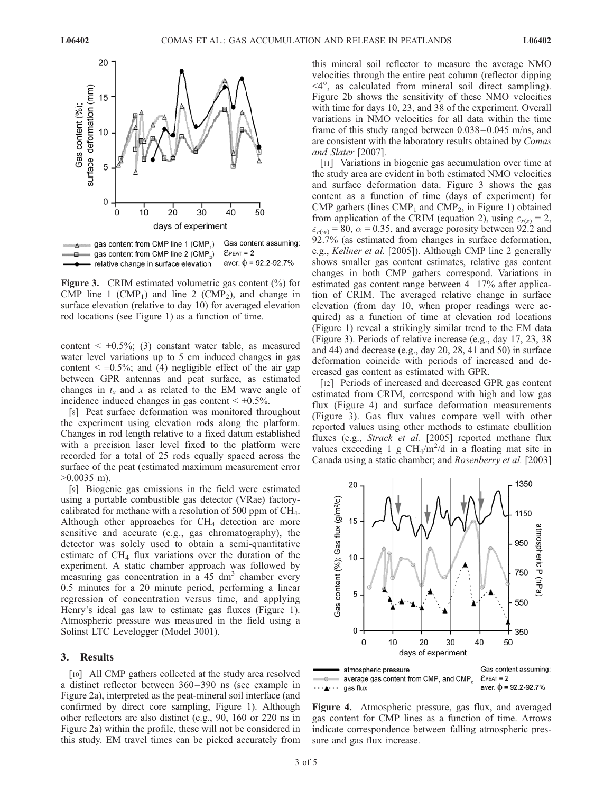

Figure 3. CRIM estimated volumetric gas content  $(\%)$  for CMP line 1 (CMP<sub>1</sub>) and line 2 (CMP<sub>2</sub>), and change in surface elevation (relative to day 10) for averaged elevation rod locations (see Figure 1) as a function of time.

content  $\leq \pm 0.5\%$ ; (3) constant water table, as measured water level variations up to 5 cm induced changes in gas content  $\leq \pm 0.5\%$ ; and (4) negligible effect of the air gap between GPR antennas and peat surface, as estimated changes in  $t_x$  and x as related to the EM wave angle of incidence induced changes in gas content  $\leq \pm 0.5\%$ .

[8] Peat surface deformation was monitored throughout the experiment using elevation rods along the platform. Changes in rod length relative to a fixed datum established with a precision laser level fixed to the platform were recorded for a total of 25 rods equally spaced across the surface of the peat (estimated maximum measurement error  $>0.0035$  m).

[9] Biogenic gas emissions in the field were estimated using a portable combustible gas detector (VRae) factorycalibrated for methane with a resolution of 500 ppm of CH4. Although other approaches for  $CH<sub>4</sub>$  detection are more sensitive and accurate (e.g., gas chromatography), the detector was solely used to obtain a semi-quantitative estimate of  $CH<sub>4</sub>$  flux variations over the duration of the experiment. A static chamber approach was followed by measuring gas concentration in a  $45 \text{ dm}^3$  chamber every 0.5 minutes for a 20 minute period, performing a linear regression of concentration versus time, and applying Henry's ideal gas law to estimate gas fluxes (Figure 1). Atmospheric pressure was measured in the field using a Solinst LTC Levelogger (Model 3001).

#### 3. Results

[10] All CMP gathers collected at the study area resolved a distinct reflector between 360 – 390 ns (see example in Figure 2a), interpreted as the peat-mineral soil interface (and confirmed by direct core sampling, Figure 1). Although other reflectors are also distinct (e.g., 90, 160 or 220 ns in Figure 2a) within the profile, these will not be considered in this study. EM travel times can be picked accurately from this mineral soil reflector to measure the average NMO velocities through the entire peat column (reflector dipping <4°, as calculated from mineral soil direct sampling). Figure 2b shows the sensitivity of these NMO velocities with time for days 10, 23, and 38 of the experiment. Overall variations in NMO velocities for all data within the time frame of this study ranged between  $0.038 - 0.045$  m/ns, and are consistent with the laboratory results obtained by Comas and Slater [2007].

[11] Variations in biogenic gas accumulation over time at the study area are evident in both estimated NMO velocities and surface deformation data. Figure 3 shows the gas content as a function of time (days of experiment) for CMP gathers (lines  $\text{CMP}_1$  and  $\text{CMP}_2$ , in Figure 1) obtained from application of the CRIM (equation 2), using  $\varepsilon_{r(s)} = 2$ ,  $\varepsilon_{r(w)}$  = 80,  $\alpha$  = 0.35, and average porosity between 92.2 and 92.7% (as estimated from changes in surface deformation, e.g., Kellner et al. [2005]). Although CMP line 2 generally shows smaller gas content estimates, relative gas content changes in both CMP gathers correspond. Variations in estimated gas content range between  $4-17\%$  after application of CRIM. The averaged relative change in surface elevation (from day 10, when proper readings were acquired) as a function of time at elevation rod locations (Figure 1) reveal a strikingly similar trend to the EM data (Figure 3). Periods of relative increase (e.g., day 17, 23, 38 and 44) and decrease (e.g., day 20, 28, 41 and 50) in surface deformation coincide with periods of increased and decreased gas content as estimated with GPR.

[12] Periods of increased and decreased GPR gas content estimated from CRIM, correspond with high and low gas flux (Figure 4) and surface deformation measurements (Figure 3). Gas flux values compare well with other reported values using other methods to estimate ebullition fluxes (e.g., Strack et al. [2005] reported methane flux values exceeding 1 g  $CH_4/m^2/d$  in a floating mat site in Canada using a static chamber; and Rosenberry et al. [2003]



Figure 4. Atmospheric pressure, gas flux, and averaged gas content for CMP lines as a function of time. Arrows indicate correspondence between falling atmospheric pressure and gas flux increase.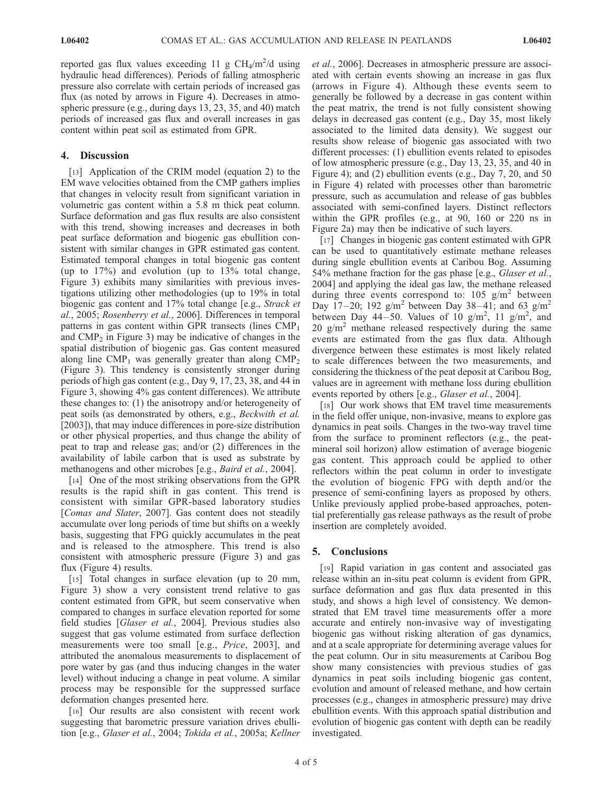reported gas flux values exceeding 11 g  $CH_4/m^2/d$  using hydraulic head differences). Periods of falling atmospheric pressure also correlate with certain periods of increased gas flux (as noted by arrows in Figure 4). Decreases in atmospheric pressure (e.g., during days 13, 23, 35, and 40) match periods of increased gas flux and overall increases in gas content within peat soil as estimated from GPR.

#### 4. Discussion

[13] Application of the CRIM model (equation 2) to the EM wave velocities obtained from the CMP gathers implies that changes in velocity result from significant variation in volumetric gas content within a 5.8 m thick peat column. Surface deformation and gas flux results are also consistent with this trend, showing increases and decreases in both peat surface deformation and biogenic gas ebullition consistent with similar changes in GPR estimated gas content. Estimated temporal changes in total biogenic gas content (up to 17%) and evolution (up to 13% total change, Figure 3) exhibits many similarities with previous investigations utilizing other methodologies (up to 19% in total biogenic gas content and 17% total change [e.g., Strack et al., 2005; Rosenberry et al., 2006]. Differences in temporal patterns in gas content within GPR transects (lines  $\text{CMP}_1$ ) and  $\text{CMP}_2$  in Figure 3) may be indicative of changes in the spatial distribution of biogenic gas. Gas content measured along line CMP<sub>1</sub> was generally greater than along CMP<sub>2</sub> (Figure 3). This tendency is consistently stronger during periods of high gas content (e.g., Day 9, 17, 23, 38, and 44 in Figure 3, showing 4% gas content differences). We attribute these changes to: (1) the anisotropy and/or heterogeneity of peat soils (as demonstrated by others, e.g., Beckwith et al. [2003]), that may induce differences in pore-size distribution or other physical properties, and thus change the ability of peat to trap and release gas; and/or (2) differences in the availability of labile carbon that is used as substrate by methanogens and other microbes [e.g., *Baird et al.*, 2004].

[14] One of the most striking observations from the GPR results is the rapid shift in gas content. This trend is consistent with similar GPR-based laboratory studies [Comas and Slater, 2007]. Gas content does not steadily accumulate over long periods of time but shifts on a weekly basis, suggesting that FPG quickly accumulates in the peat and is released to the atmosphere. This trend is also consistent with atmospheric pressure (Figure 3) and gas flux (Figure 4) results.

[15] Total changes in surface elevation (up to 20 mm, Figure 3) show a very consistent trend relative to gas content estimated from GPR, but seem conservative when compared to changes in surface elevation reported for some field studies [Glaser et al., 2004]. Previous studies also suggest that gas volume estimated from surface deflection measurements were too small [e.g., Price, 2003], and attributed the anomalous measurements to displacement of pore water by gas (and thus inducing changes in the water level) without inducing a change in peat volume. A similar process may be responsible for the suppressed surface deformation changes presented here.

[16] Our results are also consistent with recent work suggesting that barometric pressure variation drives ebullition [e.g., Glaser et al., 2004; Tokida et al., 2005a; Kellner et al., 2006]. Decreases in atmospheric pressure are associated with certain events showing an increase in gas flux (arrows in Figure 4). Although these events seem to generally be followed by a decrease in gas content within the peat matrix, the trend is not fully consistent showing delays in decreased gas content (e.g., Day 35, most likely associated to the limited data density). We suggest our results show release of biogenic gas associated with two different processes: (1) ebullition events related to episodes of low atmospheric pressure (e.g., Day 13, 23, 35, and 40 in Figure 4); and (2) ebullition events (e.g., Day 7, 20, and 50 in Figure 4) related with processes other than barometric pressure, such as accumulation and release of gas bubbles associated with semi-confined layers. Distinct reflectors within the GPR profiles (e.g., at 90, 160 or 220 ns in Figure 2a) may then be indicative of such layers.

[17] Changes in biogenic gas content estimated with GPR can be used to quantitatively estimate methane releases during single ebullition events at Caribou Bog. Assuming 54% methane fraction for the gas phase [e.g., Glaser et al., 2004] and applying the ideal gas law, the methane released during three events correspond to:  $105 \text{ g/m}^2$  between Day 17–20; 192  $g/m^2$  between Day 38–41; and 63  $g/m^2$ between Day 44–50. Values of 10  $g/m^2$ , 11  $g/m^2$ , and  $20 \text{ g/m}^2$  methane released respectively during the same events are estimated from the gas flux data. Although divergence between these estimates is most likely related to scale differences between the two measurements, and considering the thickness of the peat deposit at Caribou Bog, values are in agreement with methane loss during ebullition events reported by others [e.g., *Glaser et al.*, 2004].

[18] Our work shows that EM travel time measurements in the field offer unique, non-invasive, means to explore gas dynamics in peat soils. Changes in the two-way travel time from the surface to prominent reflectors (e.g., the peatmineral soil horizon) allow estimation of average biogenic gas content. This approach could be applied to other reflectors within the peat column in order to investigate the evolution of biogenic FPG with depth and/or the presence of semi-confining layers as proposed by others. Unlike previously applied probe-based approaches, potential preferentially gas release pathways as the result of probe insertion are completely avoided.

## 5. Conclusions

[19] Rapid variation in gas content and associated gas release within an in-situ peat column is evident from GPR, surface deformation and gas flux data presented in this study, and shows a high level of consistency. We demonstrated that EM travel time measurements offer a more accurate and entirely non-invasive way of investigating biogenic gas without risking alteration of gas dynamics, and at a scale appropriate for determining average values for the peat column. Our in situ measurements at Caribou Bog show many consistencies with previous studies of gas dynamics in peat soils including biogenic gas content, evolution and amount of released methane, and how certain processes (e.g., changes in atmospheric pressure) may drive ebullition events. With this approach spatial distribution and evolution of biogenic gas content with depth can be readily investigated.